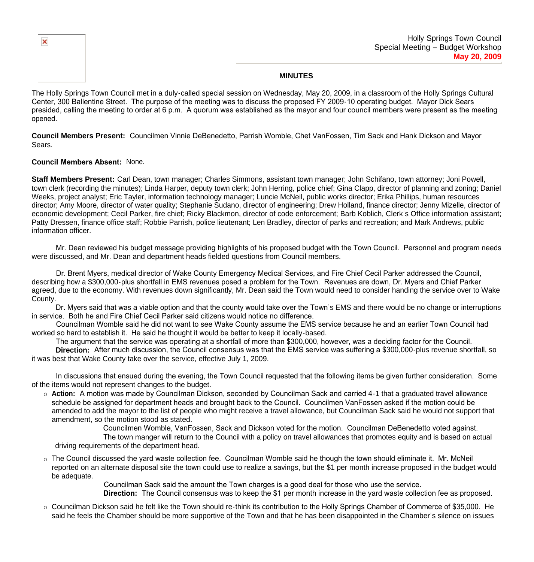

## **MINUTES**

The Holly Springs Town Council met in a duly-called special session on Wednesday, May 20, 2009, in a classroom of the Holly Springs Cultural Center, 300 Ballentine Street. The purpose of the meeting was to discuss the proposed FY 2009-10 operating budget. Mayor Dick Sears presided, calling the meeting to order at 6 p.m. A quorum was established as the mayor and four council members were present as the meeting opened.

**Council Members Present:** Councilmen Vinnie DeBenedetto, Parrish Womble, Chet VanFossen, Tim Sack and Hank Dickson and Mayor Sears.

## **Council Members Absent:** None.

**Staff Members Present:** Carl Dean, town manager; Charles Simmons, assistant town manager; John Schifano, town attorney; Joni Powell, town clerk (recording the minutes); Linda Harper, deputy town clerk; John Herring, police chief; Gina Clapp, director of planning and zoning; Daniel Weeks, project analyst; Eric Tayler, information technology manager; Luncie McNeil, public works director; Erika Phillips, human resources director; Amy Moore, director of water quality; Stephanie Sudano, director of engineering; Drew Holland, finance director; Jenny Mizelle, director of economic development; Cecil Parker, fire chief; Ricky Blackmon, director of code enforcement; Barb Koblich, Clerk's Office information assistant; Patty Dressen, finance office staff; Robbie Parrish, police lieutenant; Len Bradley, director of parks and recreation; and Mark Andrews, public information officer.

 Mr. Dean reviewed his budget message providing highlights of his proposed budget with the Town Council. Personnel and program needs were discussed, and Mr. Dean and department heads fielded questions from Council members.

 Dr. Brent Myers, medical director of Wake County Emergency Medical Services, and Fire Chief Cecil Parker addressed the Council, describing how a \$300,000-plus shortfall in EMS revenues posed a problem for the Town. Revenues are down, Dr. Myers and Chief Parker agreed, due to the economy. With revenues down significantly, Mr. Dean said the Town would need to consider handing the service over to Wake County.

 Dr. Myers said that was a viable option and that the county would take over the Town's EMS and there would be no change or interruptions in service. Both he and Fire Chief Cecil Parker said citizens would notice no difference.

 Councilman Womble said he did not want to see Wake County assume the EMS service because he and an earlier Town Council had worked so hard to establish it. He said he thought it would be better to keep it locally-based.

The argument that the service was operating at a shortfall of more than \$300,000, however, was a deciding factor for the Council.

 **Direction:** After much discussion, the Council consensus was that the EMS service was suffering a \$300,000-plus revenue shortfall, so it was best that Wake County take over the service, effective July 1, 2009.

 In discussions that ensued during the evening, the Town Council requested that the following items be given further consideration. Some of the items would not represent changes to the budget.

 **Action:** A motion was made by Councilman Dickson, seconded by Councilman Sack and carried 4-1 that a graduated travel allowance schedule be assigned for department heads and brought back to the Council. Councilmen VanFossen asked if the motion could be amended to add the mayor to the list of people who might receive a travel allowance, but Councilman Sack said he would not support that amendment, so the motion stood as stated.

Councilmen Womble, VanFossen, Sack and Dickson voted for the motion. Councilman DeBenedetto voted against. The town manger will return to the Council with a policy on travel allowances that promotes equity and is based on actual

driving requirements of the department head.

 The Council discussed the yard waste collection fee. Councilman Womble said he though the town should eliminate it. Mr. McNeil reported on an alternate disposal site the town could use to realize a savings, but the \$1 per month increase proposed in the budget would be adequate.

> Councilman Sack said the amount the Town charges is a good deal for those who use the service.  **Direction:** The Council consensus was to keep the \$1 per month increase in the yard waste collection fee as proposed.

 Councilman Dickson said he felt like the Town should re-think its contribution to the Holly Springs Chamber of Commerce of \$35,000. He said he feels the Chamber should be more supportive of the Town and that he has been disappointed in the Chamber's silence on issues